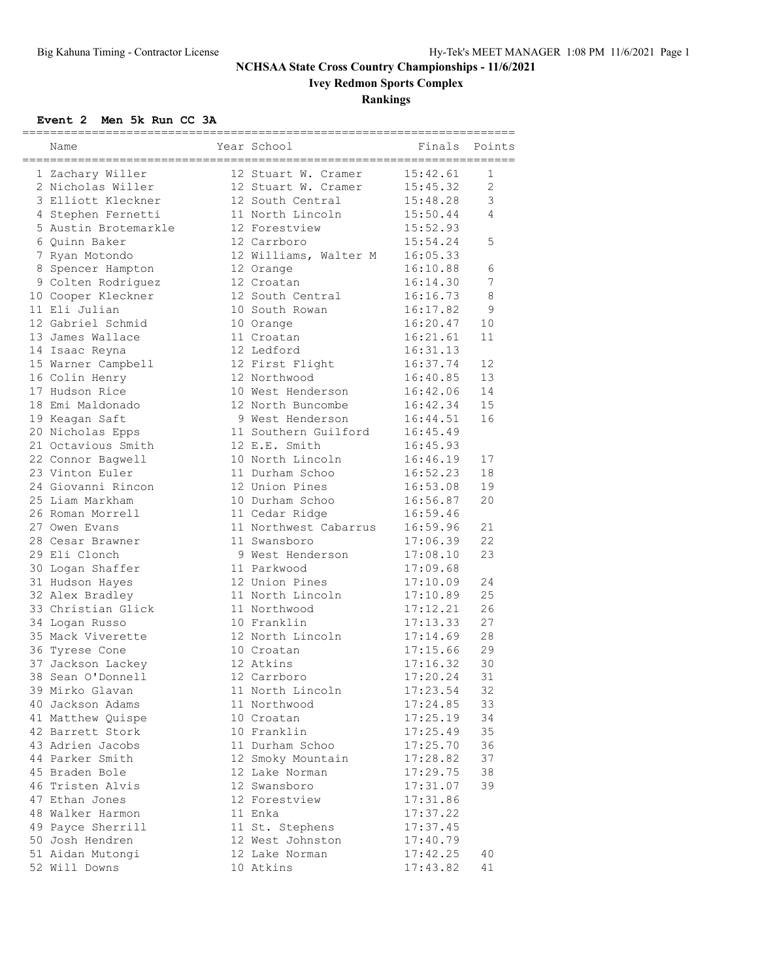# **Ivey Redmon Sports Complex**

### **Rankings**

### **Event 2 Men 5k Run CC 3A**

| 12 Stuart W. Cramer<br>15:42.61<br>1 Zachary Willer<br>1<br>$\overline{2}$<br>2 Nicholas Willer<br>12 Stuart W. Cramer<br>15:45.32<br>3<br>3 Elliott Kleckner<br>15:48.28<br>12 South Central<br>11 North Lincoln<br>4 Stephen Fernetti<br>15:50.44<br>4<br>12 Forestview<br>15:52.93<br>5 Austin Brotemarkle<br>5<br>6 Ouinn Baker<br>12 Carrboro<br>15:54.24<br>7 Ryan Motondo<br>12 Williams, Walter M<br>16:05.33<br>6<br>8 Spencer Hampton<br>12 Orange<br>16:10.88<br>7<br>9 Colten Rodriguez<br>12 Croatan<br>16:14.30<br>8<br>10 Cooper Kleckner<br>12 South Central<br>16:16.73<br>11 Eli Julian<br>16:17.82<br>9<br>10 South Rowan<br>12 Gabriel Schmid<br>16:20.47<br>10<br>10 Orange<br>16:21.61<br>11<br>13 James Wallace<br>11 Croatan<br>16:31.13<br>12 Ledford<br>14 Isaac Reyna<br>16:37.74<br>12<br>15 Warner Campbell<br>12 First Flight<br>12 Northwood<br>13<br>16 Colin Henry<br>16:40.85<br>17 Hudson Rice<br>10 West Henderson<br>14<br>16:42.06<br>15<br>18 Emi Maldonado<br>12 North Buncombe<br>16:42.34<br>16<br>19 Keagan Saft<br>9 West Henderson<br>16:44.51<br>20 Nicholas Epps<br>11 Southern Guilford<br>16:45.49<br>21 Octavious Smith<br>12 E.E. Smith<br>16:45.93<br>10 North Lincoln<br>16:46.19<br>17<br>22 Connor Baqwell<br>23 Vinton Euler<br>11 Durham Schoo<br>18<br>16:52.23<br>24 Giovanni Rincon<br>12 Union Pines<br>16:53.08<br>19<br>20<br>25 Liam Markham<br>10 Durham Schoo<br>16:56.87<br>26 Roman Morrell<br>11 Cedar Ridge<br>16:59.46<br>11 Northwest Cabarrus<br>21<br>27 Owen Evans<br>16:59.96<br>22<br>28 Cesar Brawner<br>11 Swansboro<br>17:06.39<br>29 Eli Clonch<br>23<br>9 West Henderson<br>17:08.10<br>11 Parkwood<br>30 Logan Shaffer<br>17:09.68<br>12 Union Pines<br>24<br>31 Hudson Hayes<br>17:10.09<br>11 North Lincoln<br>25<br>32 Alex Bradley<br>17:10.89<br>33 Christian Glick<br>17:12.21<br>26<br>11 Northwood<br>27<br>10 Franklin<br>17:13.33<br>34 Logan Russo<br>12 North Lincoln<br>28<br>35 Mack Viverette<br>17:14.69<br>29<br>17:15.66<br>36 Tyrese Cone<br>10 Croatan<br>37 Jackson Lackey<br>12 Atkins<br>30<br>17:16.32<br>12 Carrboro<br>31<br>38 Sean O'Donnell<br>17:20.24<br>39 Mirko Glavan<br>11 North Lincoln<br>17:23.54<br>32<br>17:24.85<br>33<br>40 Jackson Adams<br>11 Northwood<br>34<br>41 Matthew Quispe<br>10 Croatan<br>17:25.19<br>35<br>42 Barrett Stork<br>10 Franklin<br>17:25.49<br>43 Adrien Jacobs<br>11 Durham Schoo<br>36<br>17:25.70<br>44 Parker Smith<br>17:28.82<br>37<br>12 Smoky Mountain<br>45 Braden Bole<br>12 Lake Norman<br>17:29.75<br>38<br>46 Tristen Alvis<br>12 Swansboro<br>17:31.07<br>39<br>47 Ethan Jones<br>12 Forestview<br>17:31.86<br>11 Enka<br>48 Walker Harmon<br>17:37.22<br>11 St. Stephens<br>49 Payce Sherrill<br>17:37.45<br>50 Josh Hendren<br>12 West Johnston<br>17:40.79<br>51 Aidan Mutongi<br>12 Lake Norman<br>17:42.25<br>40<br>52 Will Downs<br>10 Atkins | Name | Year School | _____________________<br>Finals | Points |
|------------------------------------------------------------------------------------------------------------------------------------------------------------------------------------------------------------------------------------------------------------------------------------------------------------------------------------------------------------------------------------------------------------------------------------------------------------------------------------------------------------------------------------------------------------------------------------------------------------------------------------------------------------------------------------------------------------------------------------------------------------------------------------------------------------------------------------------------------------------------------------------------------------------------------------------------------------------------------------------------------------------------------------------------------------------------------------------------------------------------------------------------------------------------------------------------------------------------------------------------------------------------------------------------------------------------------------------------------------------------------------------------------------------------------------------------------------------------------------------------------------------------------------------------------------------------------------------------------------------------------------------------------------------------------------------------------------------------------------------------------------------------------------------------------------------------------------------------------------------------------------------------------------------------------------------------------------------------------------------------------------------------------------------------------------------------------------------------------------------------------------------------------------------------------------------------------------------------------------------------------------------------------------------------------------------------------------------------------------------------------------------------------------------------------------------------------------------------------------------------------------------------------------------------------------------------------------------------------------------------------------------------------------------------------------------------------------------------------------------------------------------------------------------------------------------------------------------------------------------------------------------------------------------------|------|-------------|---------------------------------|--------|
|                                                                                                                                                                                                                                                                                                                                                                                                                                                                                                                                                                                                                                                                                                                                                                                                                                                                                                                                                                                                                                                                                                                                                                                                                                                                                                                                                                                                                                                                                                                                                                                                                                                                                                                                                                                                                                                                                                                                                                                                                                                                                                                                                                                                                                                                                                                                                                                                                                                                                                                                                                                                                                                                                                                                                                                                                                                                                                                        |      |             |                                 |        |
|                                                                                                                                                                                                                                                                                                                                                                                                                                                                                                                                                                                                                                                                                                                                                                                                                                                                                                                                                                                                                                                                                                                                                                                                                                                                                                                                                                                                                                                                                                                                                                                                                                                                                                                                                                                                                                                                                                                                                                                                                                                                                                                                                                                                                                                                                                                                                                                                                                                                                                                                                                                                                                                                                                                                                                                                                                                                                                                        |      |             |                                 |        |
|                                                                                                                                                                                                                                                                                                                                                                                                                                                                                                                                                                                                                                                                                                                                                                                                                                                                                                                                                                                                                                                                                                                                                                                                                                                                                                                                                                                                                                                                                                                                                                                                                                                                                                                                                                                                                                                                                                                                                                                                                                                                                                                                                                                                                                                                                                                                                                                                                                                                                                                                                                                                                                                                                                                                                                                                                                                                                                                        |      |             |                                 |        |
|                                                                                                                                                                                                                                                                                                                                                                                                                                                                                                                                                                                                                                                                                                                                                                                                                                                                                                                                                                                                                                                                                                                                                                                                                                                                                                                                                                                                                                                                                                                                                                                                                                                                                                                                                                                                                                                                                                                                                                                                                                                                                                                                                                                                                                                                                                                                                                                                                                                                                                                                                                                                                                                                                                                                                                                                                                                                                                                        |      |             |                                 |        |
|                                                                                                                                                                                                                                                                                                                                                                                                                                                                                                                                                                                                                                                                                                                                                                                                                                                                                                                                                                                                                                                                                                                                                                                                                                                                                                                                                                                                                                                                                                                                                                                                                                                                                                                                                                                                                                                                                                                                                                                                                                                                                                                                                                                                                                                                                                                                                                                                                                                                                                                                                                                                                                                                                                                                                                                                                                                                                                                        |      |             |                                 |        |
|                                                                                                                                                                                                                                                                                                                                                                                                                                                                                                                                                                                                                                                                                                                                                                                                                                                                                                                                                                                                                                                                                                                                                                                                                                                                                                                                                                                                                                                                                                                                                                                                                                                                                                                                                                                                                                                                                                                                                                                                                                                                                                                                                                                                                                                                                                                                                                                                                                                                                                                                                                                                                                                                                                                                                                                                                                                                                                                        |      |             |                                 |        |
|                                                                                                                                                                                                                                                                                                                                                                                                                                                                                                                                                                                                                                                                                                                                                                                                                                                                                                                                                                                                                                                                                                                                                                                                                                                                                                                                                                                                                                                                                                                                                                                                                                                                                                                                                                                                                                                                                                                                                                                                                                                                                                                                                                                                                                                                                                                                                                                                                                                                                                                                                                                                                                                                                                                                                                                                                                                                                                                        |      |             |                                 |        |
|                                                                                                                                                                                                                                                                                                                                                                                                                                                                                                                                                                                                                                                                                                                                                                                                                                                                                                                                                                                                                                                                                                                                                                                                                                                                                                                                                                                                                                                                                                                                                                                                                                                                                                                                                                                                                                                                                                                                                                                                                                                                                                                                                                                                                                                                                                                                                                                                                                                                                                                                                                                                                                                                                                                                                                                                                                                                                                                        |      |             |                                 |        |
|                                                                                                                                                                                                                                                                                                                                                                                                                                                                                                                                                                                                                                                                                                                                                                                                                                                                                                                                                                                                                                                                                                                                                                                                                                                                                                                                                                                                                                                                                                                                                                                                                                                                                                                                                                                                                                                                                                                                                                                                                                                                                                                                                                                                                                                                                                                                                                                                                                                                                                                                                                                                                                                                                                                                                                                                                                                                                                                        |      |             |                                 |        |
|                                                                                                                                                                                                                                                                                                                                                                                                                                                                                                                                                                                                                                                                                                                                                                                                                                                                                                                                                                                                                                                                                                                                                                                                                                                                                                                                                                                                                                                                                                                                                                                                                                                                                                                                                                                                                                                                                                                                                                                                                                                                                                                                                                                                                                                                                                                                                                                                                                                                                                                                                                                                                                                                                                                                                                                                                                                                                                                        |      |             |                                 |        |
|                                                                                                                                                                                                                                                                                                                                                                                                                                                                                                                                                                                                                                                                                                                                                                                                                                                                                                                                                                                                                                                                                                                                                                                                                                                                                                                                                                                                                                                                                                                                                                                                                                                                                                                                                                                                                                                                                                                                                                                                                                                                                                                                                                                                                                                                                                                                                                                                                                                                                                                                                                                                                                                                                                                                                                                                                                                                                                                        |      |             |                                 |        |
|                                                                                                                                                                                                                                                                                                                                                                                                                                                                                                                                                                                                                                                                                                                                                                                                                                                                                                                                                                                                                                                                                                                                                                                                                                                                                                                                                                                                                                                                                                                                                                                                                                                                                                                                                                                                                                                                                                                                                                                                                                                                                                                                                                                                                                                                                                                                                                                                                                                                                                                                                                                                                                                                                                                                                                                                                                                                                                                        |      |             |                                 |        |
|                                                                                                                                                                                                                                                                                                                                                                                                                                                                                                                                                                                                                                                                                                                                                                                                                                                                                                                                                                                                                                                                                                                                                                                                                                                                                                                                                                                                                                                                                                                                                                                                                                                                                                                                                                                                                                                                                                                                                                                                                                                                                                                                                                                                                                                                                                                                                                                                                                                                                                                                                                                                                                                                                                                                                                                                                                                                                                                        |      |             |                                 |        |
|                                                                                                                                                                                                                                                                                                                                                                                                                                                                                                                                                                                                                                                                                                                                                                                                                                                                                                                                                                                                                                                                                                                                                                                                                                                                                                                                                                                                                                                                                                                                                                                                                                                                                                                                                                                                                                                                                                                                                                                                                                                                                                                                                                                                                                                                                                                                                                                                                                                                                                                                                                                                                                                                                                                                                                                                                                                                                                                        |      |             |                                 |        |
|                                                                                                                                                                                                                                                                                                                                                                                                                                                                                                                                                                                                                                                                                                                                                                                                                                                                                                                                                                                                                                                                                                                                                                                                                                                                                                                                                                                                                                                                                                                                                                                                                                                                                                                                                                                                                                                                                                                                                                                                                                                                                                                                                                                                                                                                                                                                                                                                                                                                                                                                                                                                                                                                                                                                                                                                                                                                                                                        |      |             |                                 |        |
|                                                                                                                                                                                                                                                                                                                                                                                                                                                                                                                                                                                                                                                                                                                                                                                                                                                                                                                                                                                                                                                                                                                                                                                                                                                                                                                                                                                                                                                                                                                                                                                                                                                                                                                                                                                                                                                                                                                                                                                                                                                                                                                                                                                                                                                                                                                                                                                                                                                                                                                                                                                                                                                                                                                                                                                                                                                                                                                        |      |             |                                 |        |
|                                                                                                                                                                                                                                                                                                                                                                                                                                                                                                                                                                                                                                                                                                                                                                                                                                                                                                                                                                                                                                                                                                                                                                                                                                                                                                                                                                                                                                                                                                                                                                                                                                                                                                                                                                                                                                                                                                                                                                                                                                                                                                                                                                                                                                                                                                                                                                                                                                                                                                                                                                                                                                                                                                                                                                                                                                                                                                                        |      |             |                                 |        |
|                                                                                                                                                                                                                                                                                                                                                                                                                                                                                                                                                                                                                                                                                                                                                                                                                                                                                                                                                                                                                                                                                                                                                                                                                                                                                                                                                                                                                                                                                                                                                                                                                                                                                                                                                                                                                                                                                                                                                                                                                                                                                                                                                                                                                                                                                                                                                                                                                                                                                                                                                                                                                                                                                                                                                                                                                                                                                                                        |      |             |                                 |        |
|                                                                                                                                                                                                                                                                                                                                                                                                                                                                                                                                                                                                                                                                                                                                                                                                                                                                                                                                                                                                                                                                                                                                                                                                                                                                                                                                                                                                                                                                                                                                                                                                                                                                                                                                                                                                                                                                                                                                                                                                                                                                                                                                                                                                                                                                                                                                                                                                                                                                                                                                                                                                                                                                                                                                                                                                                                                                                                                        |      |             |                                 |        |
|                                                                                                                                                                                                                                                                                                                                                                                                                                                                                                                                                                                                                                                                                                                                                                                                                                                                                                                                                                                                                                                                                                                                                                                                                                                                                                                                                                                                                                                                                                                                                                                                                                                                                                                                                                                                                                                                                                                                                                                                                                                                                                                                                                                                                                                                                                                                                                                                                                                                                                                                                                                                                                                                                                                                                                                                                                                                                                                        |      |             |                                 |        |
|                                                                                                                                                                                                                                                                                                                                                                                                                                                                                                                                                                                                                                                                                                                                                                                                                                                                                                                                                                                                                                                                                                                                                                                                                                                                                                                                                                                                                                                                                                                                                                                                                                                                                                                                                                                                                                                                                                                                                                                                                                                                                                                                                                                                                                                                                                                                                                                                                                                                                                                                                                                                                                                                                                                                                                                                                                                                                                                        |      |             |                                 |        |
|                                                                                                                                                                                                                                                                                                                                                                                                                                                                                                                                                                                                                                                                                                                                                                                                                                                                                                                                                                                                                                                                                                                                                                                                                                                                                                                                                                                                                                                                                                                                                                                                                                                                                                                                                                                                                                                                                                                                                                                                                                                                                                                                                                                                                                                                                                                                                                                                                                                                                                                                                                                                                                                                                                                                                                                                                                                                                                                        |      |             |                                 |        |
|                                                                                                                                                                                                                                                                                                                                                                                                                                                                                                                                                                                                                                                                                                                                                                                                                                                                                                                                                                                                                                                                                                                                                                                                                                                                                                                                                                                                                                                                                                                                                                                                                                                                                                                                                                                                                                                                                                                                                                                                                                                                                                                                                                                                                                                                                                                                                                                                                                                                                                                                                                                                                                                                                                                                                                                                                                                                                                                        |      |             |                                 |        |
|                                                                                                                                                                                                                                                                                                                                                                                                                                                                                                                                                                                                                                                                                                                                                                                                                                                                                                                                                                                                                                                                                                                                                                                                                                                                                                                                                                                                                                                                                                                                                                                                                                                                                                                                                                                                                                                                                                                                                                                                                                                                                                                                                                                                                                                                                                                                                                                                                                                                                                                                                                                                                                                                                                                                                                                                                                                                                                                        |      |             |                                 |        |
|                                                                                                                                                                                                                                                                                                                                                                                                                                                                                                                                                                                                                                                                                                                                                                                                                                                                                                                                                                                                                                                                                                                                                                                                                                                                                                                                                                                                                                                                                                                                                                                                                                                                                                                                                                                                                                                                                                                                                                                                                                                                                                                                                                                                                                                                                                                                                                                                                                                                                                                                                                                                                                                                                                                                                                                                                                                                                                                        |      |             |                                 |        |
|                                                                                                                                                                                                                                                                                                                                                                                                                                                                                                                                                                                                                                                                                                                                                                                                                                                                                                                                                                                                                                                                                                                                                                                                                                                                                                                                                                                                                                                                                                                                                                                                                                                                                                                                                                                                                                                                                                                                                                                                                                                                                                                                                                                                                                                                                                                                                                                                                                                                                                                                                                                                                                                                                                                                                                                                                                                                                                                        |      |             |                                 |        |
|                                                                                                                                                                                                                                                                                                                                                                                                                                                                                                                                                                                                                                                                                                                                                                                                                                                                                                                                                                                                                                                                                                                                                                                                                                                                                                                                                                                                                                                                                                                                                                                                                                                                                                                                                                                                                                                                                                                                                                                                                                                                                                                                                                                                                                                                                                                                                                                                                                                                                                                                                                                                                                                                                                                                                                                                                                                                                                                        |      |             |                                 |        |
|                                                                                                                                                                                                                                                                                                                                                                                                                                                                                                                                                                                                                                                                                                                                                                                                                                                                                                                                                                                                                                                                                                                                                                                                                                                                                                                                                                                                                                                                                                                                                                                                                                                                                                                                                                                                                                                                                                                                                                                                                                                                                                                                                                                                                                                                                                                                                                                                                                                                                                                                                                                                                                                                                                                                                                                                                                                                                                                        |      |             |                                 |        |
|                                                                                                                                                                                                                                                                                                                                                                                                                                                                                                                                                                                                                                                                                                                                                                                                                                                                                                                                                                                                                                                                                                                                                                                                                                                                                                                                                                                                                                                                                                                                                                                                                                                                                                                                                                                                                                                                                                                                                                                                                                                                                                                                                                                                                                                                                                                                                                                                                                                                                                                                                                                                                                                                                                                                                                                                                                                                                                                        |      |             |                                 |        |
|                                                                                                                                                                                                                                                                                                                                                                                                                                                                                                                                                                                                                                                                                                                                                                                                                                                                                                                                                                                                                                                                                                                                                                                                                                                                                                                                                                                                                                                                                                                                                                                                                                                                                                                                                                                                                                                                                                                                                                                                                                                                                                                                                                                                                                                                                                                                                                                                                                                                                                                                                                                                                                                                                                                                                                                                                                                                                                                        |      |             |                                 |        |
|                                                                                                                                                                                                                                                                                                                                                                                                                                                                                                                                                                                                                                                                                                                                                                                                                                                                                                                                                                                                                                                                                                                                                                                                                                                                                                                                                                                                                                                                                                                                                                                                                                                                                                                                                                                                                                                                                                                                                                                                                                                                                                                                                                                                                                                                                                                                                                                                                                                                                                                                                                                                                                                                                                                                                                                                                                                                                                                        |      |             |                                 |        |
|                                                                                                                                                                                                                                                                                                                                                                                                                                                                                                                                                                                                                                                                                                                                                                                                                                                                                                                                                                                                                                                                                                                                                                                                                                                                                                                                                                                                                                                                                                                                                                                                                                                                                                                                                                                                                                                                                                                                                                                                                                                                                                                                                                                                                                                                                                                                                                                                                                                                                                                                                                                                                                                                                                                                                                                                                                                                                                                        |      |             |                                 |        |
|                                                                                                                                                                                                                                                                                                                                                                                                                                                                                                                                                                                                                                                                                                                                                                                                                                                                                                                                                                                                                                                                                                                                                                                                                                                                                                                                                                                                                                                                                                                                                                                                                                                                                                                                                                                                                                                                                                                                                                                                                                                                                                                                                                                                                                                                                                                                                                                                                                                                                                                                                                                                                                                                                                                                                                                                                                                                                                                        |      |             |                                 |        |
|                                                                                                                                                                                                                                                                                                                                                                                                                                                                                                                                                                                                                                                                                                                                                                                                                                                                                                                                                                                                                                                                                                                                                                                                                                                                                                                                                                                                                                                                                                                                                                                                                                                                                                                                                                                                                                                                                                                                                                                                                                                                                                                                                                                                                                                                                                                                                                                                                                                                                                                                                                                                                                                                                                                                                                                                                                                                                                                        |      |             |                                 |        |
|                                                                                                                                                                                                                                                                                                                                                                                                                                                                                                                                                                                                                                                                                                                                                                                                                                                                                                                                                                                                                                                                                                                                                                                                                                                                                                                                                                                                                                                                                                                                                                                                                                                                                                                                                                                                                                                                                                                                                                                                                                                                                                                                                                                                                                                                                                                                                                                                                                                                                                                                                                                                                                                                                                                                                                                                                                                                                                                        |      |             |                                 |        |
|                                                                                                                                                                                                                                                                                                                                                                                                                                                                                                                                                                                                                                                                                                                                                                                                                                                                                                                                                                                                                                                                                                                                                                                                                                                                                                                                                                                                                                                                                                                                                                                                                                                                                                                                                                                                                                                                                                                                                                                                                                                                                                                                                                                                                                                                                                                                                                                                                                                                                                                                                                                                                                                                                                                                                                                                                                                                                                                        |      |             |                                 |        |
|                                                                                                                                                                                                                                                                                                                                                                                                                                                                                                                                                                                                                                                                                                                                                                                                                                                                                                                                                                                                                                                                                                                                                                                                                                                                                                                                                                                                                                                                                                                                                                                                                                                                                                                                                                                                                                                                                                                                                                                                                                                                                                                                                                                                                                                                                                                                                                                                                                                                                                                                                                                                                                                                                                                                                                                                                                                                                                                        |      |             |                                 |        |
|                                                                                                                                                                                                                                                                                                                                                                                                                                                                                                                                                                                                                                                                                                                                                                                                                                                                                                                                                                                                                                                                                                                                                                                                                                                                                                                                                                                                                                                                                                                                                                                                                                                                                                                                                                                                                                                                                                                                                                                                                                                                                                                                                                                                                                                                                                                                                                                                                                                                                                                                                                                                                                                                                                                                                                                                                                                                                                                        |      |             |                                 |        |
|                                                                                                                                                                                                                                                                                                                                                                                                                                                                                                                                                                                                                                                                                                                                                                                                                                                                                                                                                                                                                                                                                                                                                                                                                                                                                                                                                                                                                                                                                                                                                                                                                                                                                                                                                                                                                                                                                                                                                                                                                                                                                                                                                                                                                                                                                                                                                                                                                                                                                                                                                                                                                                                                                                                                                                                                                                                                                                                        |      |             |                                 |        |
|                                                                                                                                                                                                                                                                                                                                                                                                                                                                                                                                                                                                                                                                                                                                                                                                                                                                                                                                                                                                                                                                                                                                                                                                                                                                                                                                                                                                                                                                                                                                                                                                                                                                                                                                                                                                                                                                                                                                                                                                                                                                                                                                                                                                                                                                                                                                                                                                                                                                                                                                                                                                                                                                                                                                                                                                                                                                                                                        |      |             |                                 |        |
|                                                                                                                                                                                                                                                                                                                                                                                                                                                                                                                                                                                                                                                                                                                                                                                                                                                                                                                                                                                                                                                                                                                                                                                                                                                                                                                                                                                                                                                                                                                                                                                                                                                                                                                                                                                                                                                                                                                                                                                                                                                                                                                                                                                                                                                                                                                                                                                                                                                                                                                                                                                                                                                                                                                                                                                                                                                                                                                        |      |             |                                 |        |
|                                                                                                                                                                                                                                                                                                                                                                                                                                                                                                                                                                                                                                                                                                                                                                                                                                                                                                                                                                                                                                                                                                                                                                                                                                                                                                                                                                                                                                                                                                                                                                                                                                                                                                                                                                                                                                                                                                                                                                                                                                                                                                                                                                                                                                                                                                                                                                                                                                                                                                                                                                                                                                                                                                                                                                                                                                                                                                                        |      |             |                                 |        |
|                                                                                                                                                                                                                                                                                                                                                                                                                                                                                                                                                                                                                                                                                                                                                                                                                                                                                                                                                                                                                                                                                                                                                                                                                                                                                                                                                                                                                                                                                                                                                                                                                                                                                                                                                                                                                                                                                                                                                                                                                                                                                                                                                                                                                                                                                                                                                                                                                                                                                                                                                                                                                                                                                                                                                                                                                                                                                                                        |      |             |                                 |        |
|                                                                                                                                                                                                                                                                                                                                                                                                                                                                                                                                                                                                                                                                                                                                                                                                                                                                                                                                                                                                                                                                                                                                                                                                                                                                                                                                                                                                                                                                                                                                                                                                                                                                                                                                                                                                                                                                                                                                                                                                                                                                                                                                                                                                                                                                                                                                                                                                                                                                                                                                                                                                                                                                                                                                                                                                                                                                                                                        |      |             |                                 |        |
|                                                                                                                                                                                                                                                                                                                                                                                                                                                                                                                                                                                                                                                                                                                                                                                                                                                                                                                                                                                                                                                                                                                                                                                                                                                                                                                                                                                                                                                                                                                                                                                                                                                                                                                                                                                                                                                                                                                                                                                                                                                                                                                                                                                                                                                                                                                                                                                                                                                                                                                                                                                                                                                                                                                                                                                                                                                                                                                        |      |             |                                 |        |
|                                                                                                                                                                                                                                                                                                                                                                                                                                                                                                                                                                                                                                                                                                                                                                                                                                                                                                                                                                                                                                                                                                                                                                                                                                                                                                                                                                                                                                                                                                                                                                                                                                                                                                                                                                                                                                                                                                                                                                                                                                                                                                                                                                                                                                                                                                                                                                                                                                                                                                                                                                                                                                                                                                                                                                                                                                                                                                                        |      |             |                                 |        |
|                                                                                                                                                                                                                                                                                                                                                                                                                                                                                                                                                                                                                                                                                                                                                                                                                                                                                                                                                                                                                                                                                                                                                                                                                                                                                                                                                                                                                                                                                                                                                                                                                                                                                                                                                                                                                                                                                                                                                                                                                                                                                                                                                                                                                                                                                                                                                                                                                                                                                                                                                                                                                                                                                                                                                                                                                                                                                                                        |      |             |                                 |        |
|                                                                                                                                                                                                                                                                                                                                                                                                                                                                                                                                                                                                                                                                                                                                                                                                                                                                                                                                                                                                                                                                                                                                                                                                                                                                                                                                                                                                                                                                                                                                                                                                                                                                                                                                                                                                                                                                                                                                                                                                                                                                                                                                                                                                                                                                                                                                                                                                                                                                                                                                                                                                                                                                                                                                                                                                                                                                                                                        |      |             |                                 |        |
|                                                                                                                                                                                                                                                                                                                                                                                                                                                                                                                                                                                                                                                                                                                                                                                                                                                                                                                                                                                                                                                                                                                                                                                                                                                                                                                                                                                                                                                                                                                                                                                                                                                                                                                                                                                                                                                                                                                                                                                                                                                                                                                                                                                                                                                                                                                                                                                                                                                                                                                                                                                                                                                                                                                                                                                                                                                                                                                        |      |             |                                 |        |
|                                                                                                                                                                                                                                                                                                                                                                                                                                                                                                                                                                                                                                                                                                                                                                                                                                                                                                                                                                                                                                                                                                                                                                                                                                                                                                                                                                                                                                                                                                                                                                                                                                                                                                                                                                                                                                                                                                                                                                                                                                                                                                                                                                                                                                                                                                                                                                                                                                                                                                                                                                                                                                                                                                                                                                                                                                                                                                                        |      |             |                                 |        |
|                                                                                                                                                                                                                                                                                                                                                                                                                                                                                                                                                                                                                                                                                                                                                                                                                                                                                                                                                                                                                                                                                                                                                                                                                                                                                                                                                                                                                                                                                                                                                                                                                                                                                                                                                                                                                                                                                                                                                                                                                                                                                                                                                                                                                                                                                                                                                                                                                                                                                                                                                                                                                                                                                                                                                                                                                                                                                                                        |      |             | 17:43.82                        | 41     |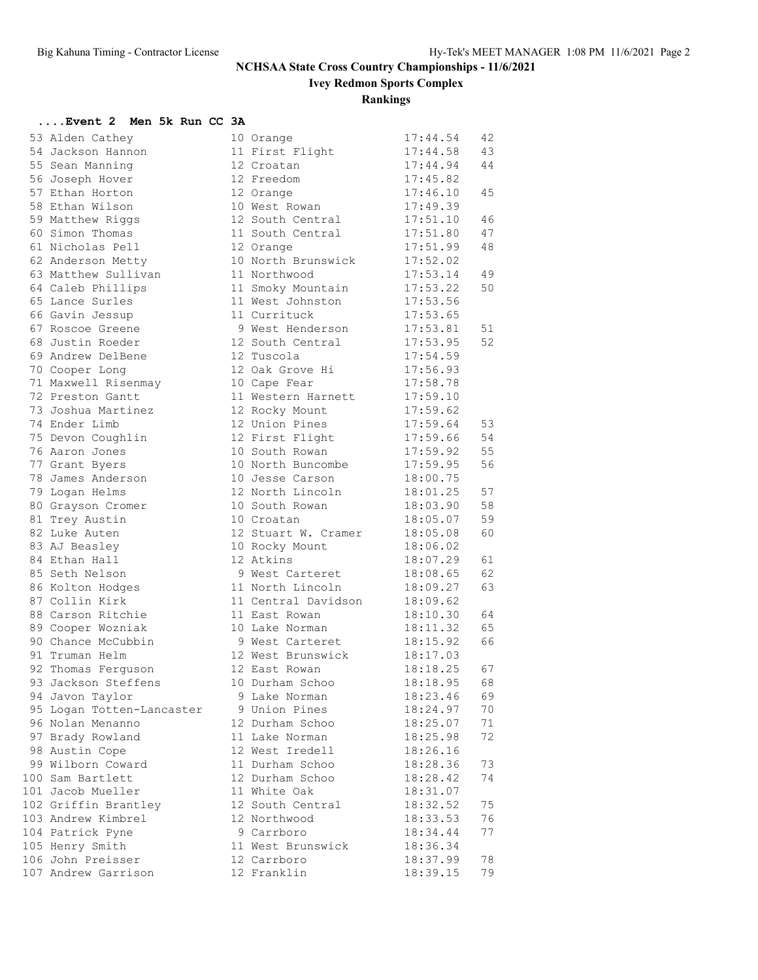**Ivey Redmon Sports Complex**

**Rankings**

### **....Event 2 Men 5k Run CC 3A**

| 53 Alden Cathey           | 10 Orange           | 17:44.54 | 42 |
|---------------------------|---------------------|----------|----|
| 54 Jackson Hannon         | 11 First Flight     | 17:44.58 | 43 |
| 55 Sean Manning           | 12 Croatan          | 17:44.94 | 44 |
| 56 Joseph Hover           | 12 Freedom          | 17:45.82 |    |
| 57 Ethan Horton           | 12 Orange           | 17:46.10 | 45 |
| 58 Ethan Wilson           | 10 West Rowan       | 17:49.39 |    |
| 59 Matthew Riggs          | 12 South Central    | 17:51.10 | 46 |
| 60 Simon Thomas           | 11 South Central    | 17:51.80 | 47 |
| 61 Nicholas Pell          | 12 Orange           | 17:51.99 | 48 |
| 62 Anderson Metty         | 10 North Brunswick  | 17:52.02 |    |
| 63 Matthew Sullivan       | 11 Northwood        | 17:53.14 | 49 |
| 64 Caleb Phillips         | 11 Smoky Mountain   | 17:53.22 | 50 |
| 65 Lance Surles           | 11 West Johnston    | 17:53.56 |    |
| 66 Gavin Jessup           | 11 Currituck        | 17:53.65 |    |
|                           |                     |          |    |
| 67 Roscoe Greene          | 9 West Henderson    | 17:53.81 | 51 |
| 68 Justin Roeder          | 12 South Central    | 17:53.95 | 52 |
| 69 Andrew DelBene         | 12 Tuscola          | 17:54.59 |    |
| 70 Cooper Long            | 12 Oak Grove Hi     | 17:56.93 |    |
| 71 Maxwell Risenmay       | 10 Cape Fear        | 17:58.78 |    |
| 72 Preston Gantt          | 11 Western Harnett  | 17:59.10 |    |
| 73 Joshua Martinez        | 12 Rocky Mount      | 17:59.62 |    |
| 74 Ender Limb             | 12 Union Pines      | 17:59.64 | 53 |
| 75 Devon Coughlin         | 12 First Flight     | 17:59.66 | 54 |
| 76 Aaron Jones            | 10 South Rowan      | 17:59.92 | 55 |
| 77 Grant Byers            | 10 North Buncombe   | 17:59.95 | 56 |
| 78 James Anderson         | 10 Jesse Carson     | 18:00.75 |    |
| 79 Logan Helms            | 12 North Lincoln    | 18:01.25 | 57 |
| 80 Grayson Cromer         | 10 South Rowan      | 18:03.90 | 58 |
| 81 Trey Austin            | 10 Croatan          | 18:05.07 | 59 |
| 82 Luke Auten             | 12 Stuart W. Cramer | 18:05.08 | 60 |
| 83 AJ Beasley             | 10 Rocky Mount      | 18:06.02 |    |
| 84 Ethan Hall             | 12 Atkins           | 18:07.29 | 61 |
| 85 Seth Nelson            | 9 West Carteret     | 18:08.65 | 62 |
| 86 Kolton Hodges          | 11 North Lincoln    | 18:09.27 | 63 |
| 87 Collin Kirk            | 11 Central Davidson | 18:09.62 |    |
| 88 Carson Ritchie         | 11 East Rowan       | 18:10.30 | 64 |
| 89 Cooper Wozniak         | 10 Lake Norman      | 18:11.32 | 65 |
| 90 Chance McCubbin        | 9 West Carteret     | 18:15.92 | 66 |
|                           | 12 West Brunswick   | 18:17.03 |    |
| 91 Truman Helm            |                     |          |    |
| 92 Thomas Ferguson        | 12 East Rowan       | 18:18.25 | 67 |
| 93 Jackson Steffens       | 10 Durham Schoo     | 18:18.95 | 68 |
| 94 Javon Taylor           | 9 Lake Norman       | 18:23.46 | 69 |
| 95 Logan Totten-Lancaster | 9 Union Pines       | 18:24.97 | 70 |
| 96 Nolan Menanno          | 12 Durham Schoo     | 18:25.07 | 71 |
| 97 Brady Rowland          | 11 Lake Norman      | 18:25.98 | 72 |
| 98 Austin Cope            | 12 West Iredell     | 18:26.16 |    |
| 99 Wilborn Coward         | 11 Durham Schoo     | 18:28.36 | 73 |
| 100 Sam Bartlett          | 12 Durham Schoo     | 18:28.42 | 74 |
| 101 Jacob Mueller         | 11 White Oak        | 18:31.07 |    |
| 102 Griffin Brantley      | 12 South Central    | 18:32.52 | 75 |
| 103 Andrew Kimbrel        | 12 Northwood        | 18:33.53 | 76 |
| 104 Patrick Pyne          | 9 Carrboro          | 18:34.44 | 77 |
| 105 Henry Smith           | 11 West Brunswick   | 18:36.34 |    |
| 106 John Preisser         | 12 Carrboro         | 18:37.99 | 78 |
| 107 Andrew Garrison       | 12 Franklin         | 18:39.15 | 79 |
|                           |                     |          |    |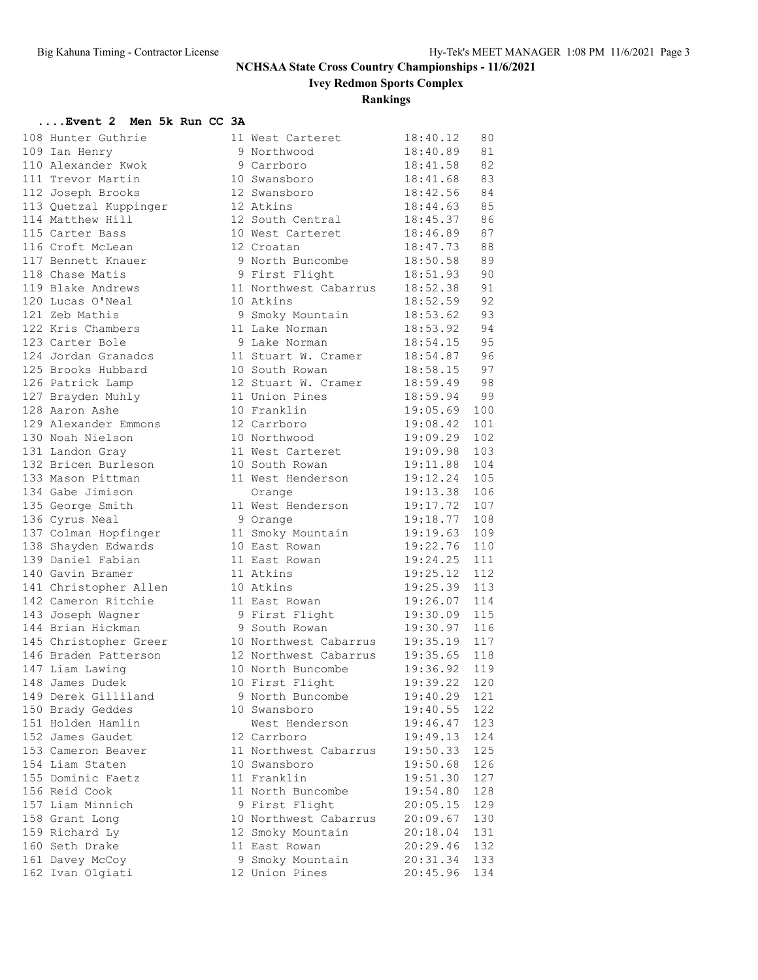**Ivey Redmon Sports Complex**

### **Rankings**

### **....Event 2 Men 5k Run CC 3A**

| 108 Hunter Guthrie    | 11 West Carteret                                              | 18:40.12                   | 80  |
|-----------------------|---------------------------------------------------------------|----------------------------|-----|
| 109 Ian Henry         | 9 Northwood<br>9 Carrboro                                     | $18:40.89$ 81              |     |
| 110 Alexander Kwok    |                                                               | $18:41.58$ 82              |     |
| 111 Trevor Martin     | 10 Swansboro                                                  | 18:41.68 83                |     |
| 112 Joseph Brooks     | 12 Swansboro 18:42.56 84                                      |                            |     |
| 113 Quetzal Kuppinger | 12 Atkins                                                     | 18:44.63 85                |     |
| 114 Matthew Hill      | 12 non-new                                                    | 18:45.37 86<br>18:46.89 87 |     |
| 115 Carter Bass       | 10 West Carteret                                              |                            |     |
| 116 Croft McLean      | 12 Croatan                                                    | $18:47.73$ 88              |     |
| 117 Bennett Knauer    | 9 North Buncombe 18:50.58                                     |                            | 89  |
| 118 Chase Matis       | 9 First Flight                                                | 18:51.93 90                |     |
| 119 Blake Andrews     | 11 Northwest Cabarrus 18:52.38 91                             |                            |     |
| 120 Lucas O'Neal      | 10 Atkins                                                     | 18:52.59 92<br>18:53.62 93 |     |
| 121 Zeb Mathis        | 9 Smoky Mountain                                              |                            |     |
| 122 Kris Chambers     | 11 Lake Norman 18:53.92 94                                    |                            |     |
| 123 Carter Bole       | 9 Lake Norman 18:54.15                                        |                            | 95  |
| 124 Jordan Granados   | 11 Stuart W. Cramer 18:54.87 96                               |                            |     |
| 125 Brooks Hubbard    | 10 South Rowan 18:58.15 97                                    |                            |     |
| 126 Patrick Lamp      | 12 Stuart W. Cramer 18:59.49 98<br>11 Union Pines 18:59.94 99 |                            |     |
| 127 Brayden Muhly     | 11 Union Pines<br>10 Franklin                                 |                            |     |
| 128 Aaron Ashe        |                                                               | 19:05.69                   | 100 |
| 129 Alexander Emmons  | 12 Carrboro                                                   | 19:08.42                   | 101 |
| 130 Noah Nielson      | 10 Northwood                                                  | 19:09.29                   | 102 |
| 131 Landon Gray       | 11 West Carteret 19:09.98                                     |                            | 103 |
| 132 Bricen Burleson   | 10 South Rowan                                                | 19:11.88                   | 104 |
| 133 Mason Pittman     | 11 West Henderson                                             | 19:12.24                   | 105 |
| 134 Gabe Jimison      | Orange                                                        | 19:13.38                   | 106 |
| 135 George Smith      | 11 West Henderson                                             | 19:17.72                   | 107 |
| 136 Cyrus Neal        | 9 Orange                                                      | 19:18.77                   | 108 |
| 137 Colman Hopfinger  | 11 Smoky Mountain 19:19.63                                    |                            | 109 |
| 138 Shayden Edwards   | 10 East Rowan                                                 | 19:22.76                   | 110 |
| 139 Daniel Fabian     | 11 East Rowan                                                 | 19:24.25                   | 111 |
| 140 Gavin Bramer      | 11 Atkins                                                     | 19:25.12                   | 112 |
| 141 Christopher Allen | 10 Atkins                                                     | 19:25.39                   | 113 |
| 142 Cameron Ritchie   | 11 East Rowan                                                 | 19:26.07                   | 114 |
| 143 Joseph Wagner     | 9 First Flight 19:30.09                                       |                            | 115 |
| 144 Brian Hickman     | 9 South Rowan                                                 | 19:30.97                   | 116 |
| 145 Christopher Greer | 10 Northwest Cabarrus 19:35.19                                |                            | 117 |
| 146 Braden Patterson  | 12 Northwest Cabarrus 19:35.65                                |                            | 118 |
| 147 Liam Lawing       | 10 North Buncombe                                             | 19:36.92                   | 119 |
| 148 James Dudek       | 10 First Flight                                               | 19:39.22                   | 120 |
| 149 Derek Gilliland   | 9 North Buncombe                                              | 19:40.29                   | 121 |
| 150 Brady Geddes      | 10 Swansboro                                                  | 19:40.55                   | 122 |
| 151 Holden Hamlin     | West Henderson                                                | 19:46.47                   | 123 |
| 152 James Gaudet      | 12 Carrboro                                                   | 19:49.13                   | 124 |
| 153 Cameron Beaver    | 11 Northwest Cabarrus                                         | 19:50.33                   | 125 |
| 154 Liam Staten       | 10 Swansboro                                                  | 19:50.68                   | 126 |
| 155 Dominic Faetz     | 11 Franklin                                                   | 19:51.30                   | 127 |
| 156 Reid Cook         | 11 North Buncombe                                             | 19:54.80                   | 128 |
| 157 Liam Minnich      | 9 First Flight                                                | 20:05.15                   | 129 |
| 158 Grant Long        | 10 Northwest Cabarrus                                         | 20:09.67                   | 130 |
| 159 Richard Ly        | 12 Smoky Mountain                                             | 20:18.04                   | 131 |
| 160 Seth Drake        | 11 East Rowan                                                 | 20:29.46                   | 132 |
| 161 Davey McCoy       | 9 Smoky Mountain                                              | 20:31.34                   | 133 |
| 162 Ivan Olgiati      | 12 Union Pines                                                | 20:45.96                   | 134 |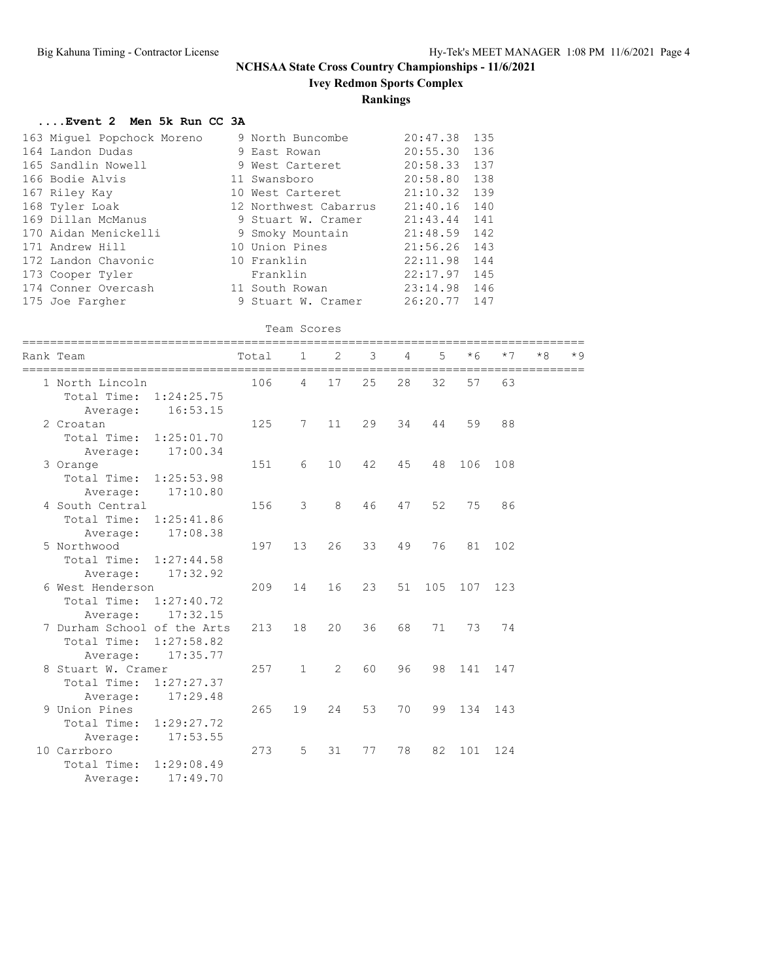**Ivey Redmon Sports Complex**

### **Rankings**

### **....Event 2 Men 5k Run CC 3A**

| 163 Miquel Popchock Moreno | 9 North Buncombe      | 20:47.38       | 135 |
|----------------------------|-----------------------|----------------|-----|
| 164 Landon Dudas           | 9 East Rowan          | 20:55.30 136   |     |
| 165 Sandlin Nowell         | 9 West Carteret       | 20:58.33 137   |     |
| 166 Bodie Alvis            | 11 Swansboro          | 20:58.80 138   |     |
| 167 Riley Kay              | 10 West Carteret      | $21:10.32$ 139 |     |
| 168 Tyler Loak             | 12 Northwest Cabarrus | 21:40.16 140   |     |
| 169 Dillan McManus         | 9 Stuart W. Cramer    | 21:43.44 141   |     |
| 170 Aidan Menickelli       | 9 Smoky Mountain      | $21:48.59$ 142 |     |
| 171 Andrew Hill            | 10 Union Pines        | 21:56.26 143   |     |
| 172 Landon Chavonic        | 10 Franklin           | 22:11.98 144   |     |
| 173 Cooper Tyler           | Franklin              | $22:17.97$ 145 |     |
| 174 Conner Overcash        | 11 South Rowan        | $23:14.98$ 146 |     |
| 175 Joe Fargher            | 9 Stuart W. Cramer    | 26:20.77 147   |     |

Team Scores

|  | Rank Team                                                                      | ========== | Total | $\mathbf{1}$ | 2  | 3  | 4  | 5   | $*6$ | $*7$    | $*8$                         | $*9$ |
|--|--------------------------------------------------------------------------------|------------|-------|--------------|----|----|----|-----|------|---------|------------------------------|------|
|  | =================================<br>1 North Lincoln<br>Total Time: 1:24:25.75 |            | 106   | 4            | 17 | 25 | 28 | 32  | 57   | 63      | ============================ |      |
|  | Average:                                                                       | 16:53.15   |       |              |    |    |    |     |      |         |                              |      |
|  | 2 Croatan                                                                      |            | 125   | 7            | 11 | 29 | 34 | 44  | 59   | 88      |                              |      |
|  | Total Time: 1:25:01.70                                                         |            |       |              |    |    |    |     |      |         |                              |      |
|  | Average:                                                                       | 17:00.34   |       |              |    |    |    |     |      |         |                              |      |
|  | 3 Orange                                                                       |            | 151   | 6            | 10 | 42 | 45 | 48  | 106  | 108     |                              |      |
|  | Total Time: 1:25:53.98                                                         |            |       |              |    |    |    |     |      |         |                              |      |
|  | Average:                                                                       | 17:10.80   |       |              |    |    |    |     |      |         |                              |      |
|  | 4 South Central                                                                |            | 156   | 3            | 8  | 46 | 47 | 52  | 75   | 86      |                              |      |
|  | Total Time:                                                                    | 1:25:41.86 |       |              |    |    |    |     |      |         |                              |      |
|  | Average:                                                                       | 17:08.38   |       |              |    |    |    |     |      |         |                              |      |
|  | 5 Northwood                                                                    |            | 197   | 13           | 26 | 33 | 49 | 76  |      | 81 102  |                              |      |
|  | Total Time:                                                                    | 1:27:44.58 |       |              |    |    |    |     |      |         |                              |      |
|  | Average:                                                                       | 17:32.92   |       |              |    |    |    |     |      |         |                              |      |
|  | 6 West Henderson                                                               |            | 209   | 14           | 16 | 23 | 51 | 105 |      | 107 123 |                              |      |
|  | Total Time: 1:27:40.72                                                         |            |       |              |    |    |    |     |      |         |                              |      |
|  | Average:                                                                       | 17:32.15   |       |              |    |    |    |     |      |         |                              |      |
|  | 7 Durham School of the Arts                                                    |            | 213   | 18           | 20 | 36 | 68 | 71  | 73   | 74      |                              |      |
|  | Total Time: 1:27:58.82                                                         |            |       |              |    |    |    |     |      |         |                              |      |
|  | Average:                                                                       | 17:35.77   |       |              |    |    |    |     |      |         |                              |      |
|  | 8 Stuart W. Cramer                                                             |            | 257   | $\mathbf{1}$ | 2  | 60 | 96 | 98  | 141  | 147     |                              |      |
|  | Total Time: 1:27:27.37                                                         |            |       |              |    |    |    |     |      |         |                              |      |
|  | Average:                                                                       | 17:29.48   |       |              |    |    |    |     |      |         |                              |      |
|  | 9 Union Pines                                                                  |            | 265   | 19           | 24 | 53 | 70 | 99  | 134  | 143     |                              |      |
|  | Total Time: 1:29:27.72                                                         |            |       |              |    |    |    |     |      |         |                              |      |
|  | Average:                                                                       | 17:53.55   |       |              |    |    |    |     |      |         |                              |      |
|  | 10 Carrboro                                                                    |            | 273   | $5^{\circ}$  | 31 | 77 | 78 | 82  | 101  | 124     |                              |      |
|  | Total Time:                                                                    | 1:29:08.49 |       |              |    |    |    |     |      |         |                              |      |
|  | Average:                                                                       | 17:49.70   |       |              |    |    |    |     |      |         |                              |      |